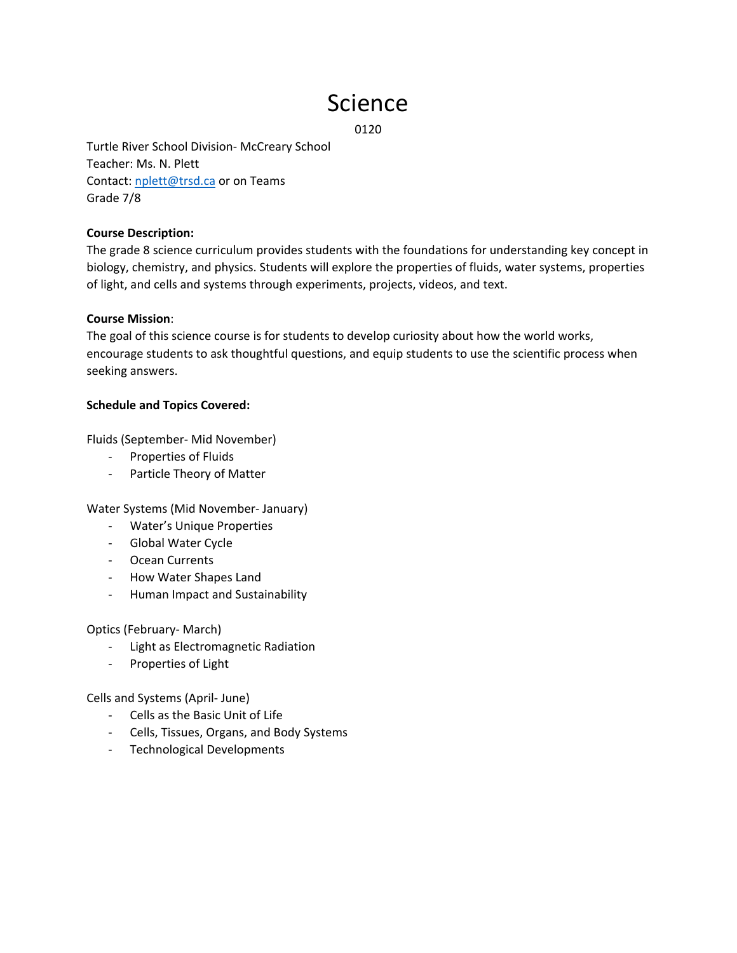# Science

0120

Turtle River School Division‐ McCreary School Teacher: Ms. N. Plett Contact: nplett@trsd.ca or on Teams Grade 7/8

## **Course Description:**

The grade 8 science curriculum provides students with the foundations for understanding key concept in biology, chemistry, and physics. Students will explore the properties of fluids, water systems, properties of light, and cells and systems through experiments, projects, videos, and text.

#### **Course Mission**:

The goal of this science course is for students to develop curiosity about how the world works, encourage students to ask thoughtful questions, and equip students to use the scientific process when seeking answers.

#### **Schedule and Topics Covered:**

Fluids (September‐ Mid November)

- ‐ Properties of Fluids
- ‐ Particle Theory of Matter

Water Systems (Mid November‐ January)

- ‐ Water's Unique Properties
- ‐ Global Water Cycle
- ‐ Ocean Currents
- ‐ How Water Shapes Land
- ‐ Human Impact and Sustainability

Optics (February‐ March)

- ‐ Light as Electromagnetic Radiation
- ‐ Properties of Light

Cells and Systems (April‐ June)

- ‐ Cells as the Basic Unit of Life
- ‐ Cells, Tissues, Organs, and Body Systems
- ‐ Technological Developments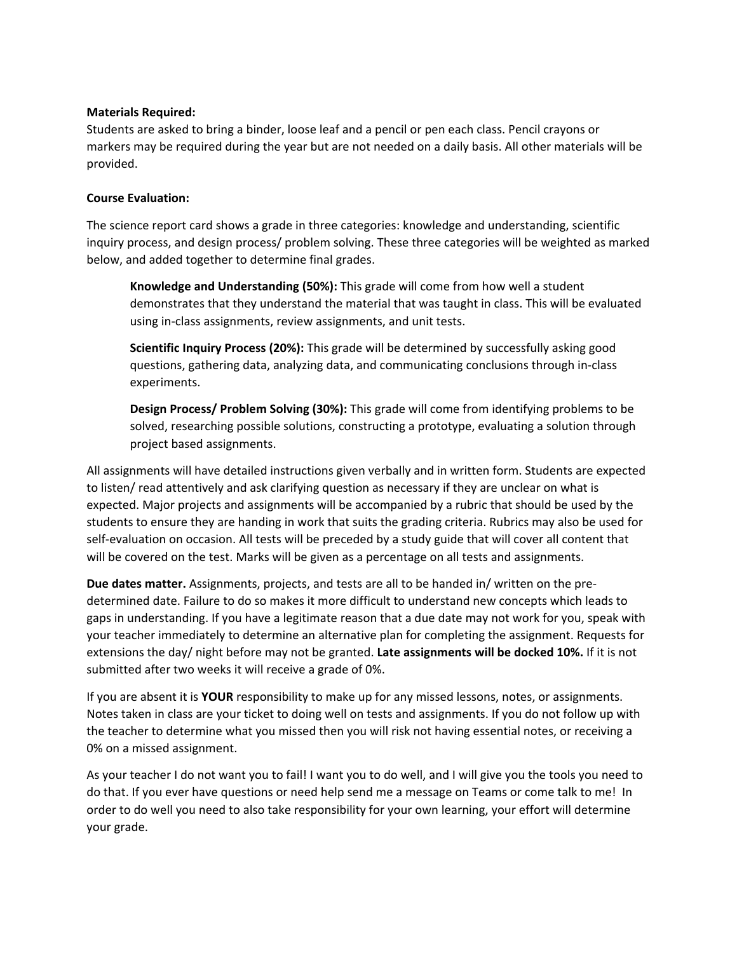## **Materials Required:**

Students are asked to bring a binder, loose leaf and a pencil or pen each class. Pencil crayons or markers may be required during the year but are not needed on a daily basis. All other materials will be provided.

# **Course Evaluation:**

The science report card shows a grade in three categories: knowledge and understanding, scientific inquiry process, and design process/ problem solving. These three categories will be weighted as marked below, and added together to determine final grades.

**Knowledge and Understanding (50%):** This grade will come from how well a student demonstrates that they understand the material that was taught in class. This will be evaluated using in‐class assignments, review assignments, and unit tests.

**Scientific Inquiry Process (20%):** This grade will be determined by successfully asking good questions, gathering data, analyzing data, and communicating conclusions through in‐class experiments.

**Design Process/ Problem Solving (30%):** This grade will come from identifying problems to be solved, researching possible solutions, constructing a prototype, evaluating a solution through project based assignments.

All assignments will have detailed instructions given verbally and in written form. Students are expected to listen/ read attentively and ask clarifying question as necessary if they are unclear on what is expected. Major projects and assignments will be accompanied by a rubric that should be used by the students to ensure they are handing in work that suits the grading criteria. Rubrics may also be used for self-evaluation on occasion. All tests will be preceded by a study guide that will cover all content that will be covered on the test. Marks will be given as a percentage on all tests and assignments.

**Due dates matter.** Assignments, projects, and tests are all to be handed in/ written on the pre‐ determined date. Failure to do so makes it more difficult to understand new concepts which leads to gaps in understanding. If you have a legitimate reason that a due date may not work for you, speak with your teacher immediately to determine an alternative plan for completing the assignment. Requests for extensions the day/ night before may not be granted. **Late assignments will be docked 10%.** If it is not submitted after two weeks it will receive a grade of 0%.

If you are absent it is **YOUR** responsibility to make up for any missed lessons, notes, or assignments. Notes taken in class are your ticket to doing well on tests and assignments. If you do not follow up with the teacher to determine what you missed then you will risk not having essential notes, or receiving a 0% on a missed assignment.

As your teacher I do not want you to fail! I want you to do well, and I will give you the tools you need to do that. If you ever have questions or need help send me a message on Teams or come talk to me! In order to do well you need to also take responsibility for your own learning, your effort will determine your grade.